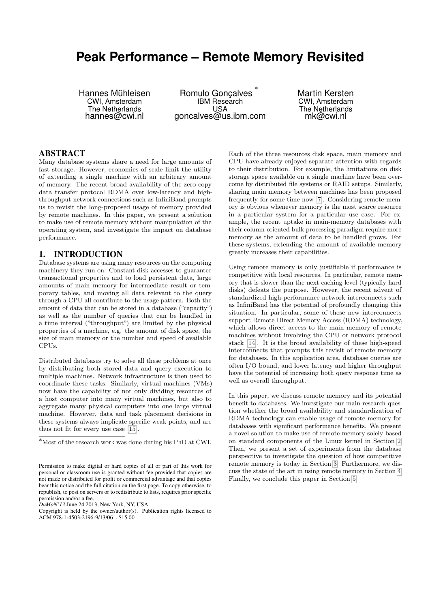# **Peak Performance – Remote Memory Revisited**

Hannes Mühleisen CWI, Amsterdam The Netherlands hannes@cwi.nl

Romulo Gonçalves ∗ IBM Research USA goncalves@us.ibm.com

Martin Kersten CWI, Amsterdam The Netherlands mk@cwi.nl

#### ABSTRACT

Many database systems share a need for large amounts of fast storage. However, economies of scale limit the utility of extending a single machine with an arbitrary amount of memory. The recent broad availability of the zero-copy data transfer protocol RDMA over low-latency and highthroughput network connections such as InfiniBand prompts us to revisit the long-proposed usage of memory provided by remote machines. In this paper, we present a solution to make use of remote memory without manipulation of the operating system, and investigate the impact on database performance.

#### 1. INTRODUCTION

Database systems are using many resources on the computing machinery they run on. Constant disk accesses to guarantee transactional properties and to load persistent data, large amounts of main memory for intermediate result or temporary tables, and moving all data relevant to the query through a CPU all contribute to the usage pattern. Both the amount of data that can be stored in a database ("capacity") as well as the number of queries that can be handled in a time interval ("throughput") are limited by the physical properties of a machine, e.g. the amount of disk space, the size of main memory or the number and speed of available CPUs.

Distributed databases try to solve all these problems at once by distributing both stored data and query execution to multiple machines. Network infrastructure is then used to coordinate these tasks. Similarly, virtual machines (VMs) now have the capability of not only dividing resources of a host computer into many virtual machines, but also to aggregate many physical computers into one large virtual machine. However, data and task placement decisions in these systems always implicate specific weak points, and are thus not fit for every use case [\[15\]](#page-6-0).

<sup>∗</sup>Most of the research work was done during his PhD at CWI.

Each of the three resources disk space, main memory and CPU have already enjoyed separate attention with regards to their distribution. For example, the limitations on disk storage space available on a single machine have been overcome by distributed file systems or RAID setups. Similarly, sharing main memory between machines has been proposed frequently for some time now [\[7\]](#page-6-1). Considering remote memory is obvious whenever memory is the most scarce resource in a particular system for a particular use case. For example, the recent uptake in main-memory databases with their column-oriented bulk processing paradigm require more memory as the amount of data to be handled grows. For these systems, extending the amount of available memory greatly increases their capabilities.

Using remote memory is only justifiable if performance is competitive with local resources. In particular, remote memory that is slower than the next caching level (typically hard disks) defeats the purpose. However, the recent advent of standardized high-performance network interconnects such as InfiniBand has the potential of profoundly changing this situation. In particular, some of these new interconnects support Remote Direct Memory Access (RDMA) technology, which allows direct access to the main memory of remote machines without involving the CPU or network protocol stack [\[14\]](#page-6-2). It is the broad availability of these high-speed interconnects that prompts this revisit of remote memory for databases. In this application area, database queries are often I/O bound, and lower latency and higher throughput have the potential of increasing both query response time as well as overall throughput.

In this paper, we discuss remote memory and its potential benefit to databases. We investigate our main research question whether the broad availability and standardization of RDMA technology can enable usage of remote memory for databases with significant performance benefits. We present a novel solution to make use of remote memory solely based on standard components of the Linux kernel in Section [2.](#page-1-0) Then, we present a set of experiments from the database perspective to investigate the question of how competitive remote memory is today in Section [3.](#page-2-0) Furthermore, we discuss the state of the art in using remote memory in Section [4.](#page-4-0) Finally, we conclude this paper in Section [5.](#page-5-0)

Permission to make digital or hard copies of all or part of this work for personal or classroom use is granted without fee provided that copies are not made or distributed for profit or commercial advantage and that copies bear this notice and the full citation on the first page. To copy otherwise, to republish, to post on servers or to redistribute to lists, requires prior specific permission and/or a fee.

*DaMoN'13* June 24 2013, New York, NY, USA.

Copyright is held by the owner/author(s). Publication rights licensed to ACM 978-1-4503-2196-9/13/06 ...\$15.00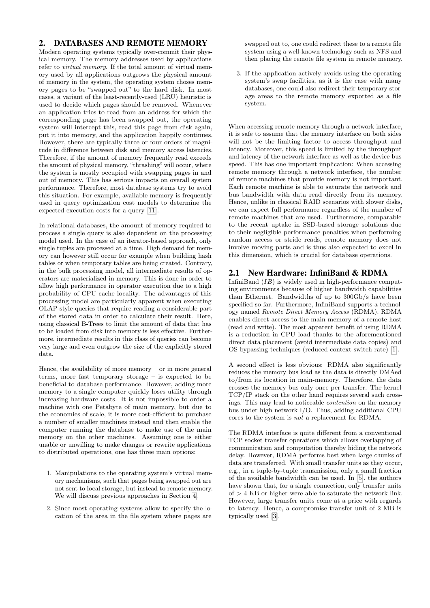## <span id="page-1-0"></span>2. DATABASES AND REMOTE MEMORY

Modern operating systems typically over-commit their physical memory. The memory addresses used by applications refer to virtual memory. If the total amount of virtual memory used by all applications outgrows the physical amount of memory in the system, the operating system choses memory pages to be "swapped out" to the hard disk. In most cases, a variant of the least-recently-used (LRU) heuristic is used to decide which pages should be removed. Whenever an application tries to read from an address for which the corresponding page has been swapped out, the operating system will intercept this, read this page from disk again, put it into memory, and the application happily continues. However, there are typically three or four orders of magnitude in difference between disk and memory access latencies. Therefore, if the amount of memory frequently read exceeds the amount of physical memory, "thrashing" will occur, where the system is mostly occupied with swapping pages in and out of memory. This has serious impacts on overall system performance. Therefore, most database systems try to avoid this situation. For example, available memory is frequently used in query optimization cost models to determine the expected execution costs for a query [\[11\]](#page-6-3).

In relational databases, the amount of memory required to process a single query is also dependent on the processing model used. In the case of an iterator-based approach, only single tuples are processed at a time. High demand for memory can however still occur for example when building hash tables or when temporary tables are being created. Contrary, in the bulk processing model, all intermediate results of operators are materialized in memory. This is done in order to allow high performance in operator execution due to a high probability of CPU cache locality. The advantages of this processing model are particularly apparent when executing OLAP-style queries that require reading a considerable part of the stored data in order to calculate their result. Here, using classical B-Trees to limit the amount of data that has to be loaded from disk into memory is less effective. Furthermore, intermediate results in this class of queries can become very large and even outgrow the size of the explicitly stored data.

Hence, the availability of more memory – or in more general terms, more fast temporary storage – is expected to be beneficial to database performance. However, adding more memory to a single computer quickly loses utility through increasing hardware costs. It is not impossible to order a machine with one Petabyte of main memory, but due to the economies of scale, it is more cost-efficient to purchase a number of smaller machines instead and then enable the computer running the database to make use of the main memory on the other machines. Assuming one is either unable or unwilling to make changes or rewrite applications to distributed operations, one has three main options:

- 1. Manipulations to the operating system's virtual memory mechanisms, such that pages being swapped out are not sent to local storage, but instead to remote memory. We will discuss previous approaches in Section [4.](#page-4-0)
- 2. Since most operating systems allow to specify the location of the area in the file system where pages are

swapped out to, one could redirect these to a remote file system using a well-known technology such as NFS and then placing the remote file system in remote memory.

3. If the application actively avoids using the operating system's swap facilities, as it is the case with many databases, one could also redirect their temporary storage areas to the remote memory exported as a file system.

When accessing remote memory through a network interface, it is safe to assume that the memory interface on both sides will not be the limiting factor to access throughput and latency. Moreover, this speed is limited by the throughput and latency of the network interface as well as the device bus speed. This has one important implication: When accessing remote memory through a network interface, the number of remote machines that provide memory is not important. Each remote machine is able to saturate the network and bus bandwidth with data read directly from its memory. Hence, unlike in classical RAID scenarios with slower disks, we can expect full performance regardless of the number of remote machines that are used. Furthermore, comparable to the recent uptake in SSD-based storage solutions due to their negligible performance penalties when performing random access or stride reads, remote memory does not involve moving parts and is thus also expected to excel in this dimension, which is crucial for database operations.

## 2.1 New Hardware: InfiniBand & RDMA

InfiniBand  $(IB)$  is widely used in high-performance computing environments because of higher bandwidth capabilities than Ethernet. Bandwidths of up to 300Gb/s have been specified so far. Furthermore, InfiniBand supports a technology named Remote Direct Memory Access (RDMA). RDMA enables direct access to the main memory of a remote host (read and write). The most apparent benefit of using RDMA is a reduction in CPU load thanks to the aforementioned direct data placement (avoid intermediate data copies) and OS bypassing techniques (reduced context switch rate) [\[1\]](#page-6-4).

A second effect is less obvious: RDMA also significantly reduces the memory bus load as the data is directly DMAed to/from its location in main-memory. Therefore, the data crosses the memory bus only once per transfer. The kernel TCP/IP stack on the other hand requires several such crossings. This may lead to noticeable contention on the memory bus under high network I/O. Thus, adding additional CPU cores to the system is not a replacement for RDMA.

The RDMA interface is quite different from a conventional TCP socket transfer operations which allows overlapping of communication and computation thereby hiding the network delay. However, RDMA performs best when large chunks of data are transferred. With small transfer units as they occur, e.g., in a tuple-by-tuple transmission, only a small fraction of the available bandwidth can be used. In [\[5\]](#page-6-5), the authors have shown that, for a single connection, only transfer units  $of > 4$  KB or higher were able to saturate the network link. However, large transfer units come at a price with regards to latency. Hence, a compromise transfer unit of 2 MB is typically used [\[3\]](#page-6-6).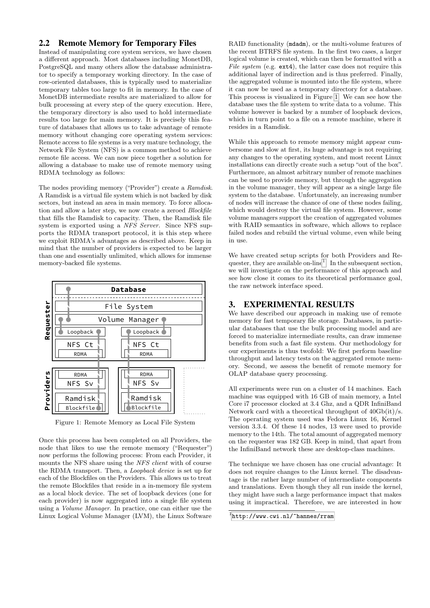## 2.2 Remote Memory for Temporary Files

Instead of manipulating core system services, we have chosen a different approach. Most databases including MonetDB, PostgreSQL and many others allow the database administrator to specify a temporary working directory. In the case of row-oriented databases, this is typically used to materialize temporary tables too large to fit in memory. In the case of MonetDB intermediate results are materialized to allow for bulk processing at every step of the query execution. Here, the temporary directory is also used to hold intermediate results too large for main memory. It is precisely this feature of databases that allows us to take advantage of remote memory without changing core operating system services: Remote access to file systems is a very mature technology, the Network File System (NFS) is a common method to achieve remote file access. We can now piece together a solution for allowing a database to make use of remote memory using RDMA technology as follows:

The nodes providing memory ("Provider") create a Ramdisk. A Ramdisk is a virtual file system which is not backed by disk sectors, but instead an area in main memory. To force allocation and allow a later step, we now create a zeroed Blockfile that fills the Ramdisk to capacity. Then, the Ramdisk file system is exported using a NFS Server. Since NFS supports the RDMA transport protocol, it is this step where we exploit RDMA's advantages as described above. Keep in mind that the number of providers is expected to be larger than one and essentially unlimited, which allows for immense memory-backed file systems.

<span id="page-2-1"></span>

Figure 1: Remote Memory as Local File System

Once this process has been completed on all Providers, the node that likes to use the remote memory ("Requester") now performs the following process: From each Provider, it mounts the NFS share using the NFS client with of course the RDMA transport. Then, a Loopback device is set up for each of the Blockfiles on the Providers. This allows us to treat the remote Blockfiles that reside in a in-memory file system as a local block device. The set of loopback devices (one for each provider) is now aggregated into a single file system using a Volume Manager. In practice, one can either use the Linux Logical Volume Manager (LVM), the Linux Software

RAID functionality (mdadm), or the multi-volume features of the recent BTRFS file system. In the first two cases, a larger logical volume is created, which can then be formatted with a File system (e.g. ext4), the latter case does not require this additional layer of indirection and is thus preferred. Finally, the aggregated volume is mounted into the file system, where it can now be used as a temporary directory for a database. This process is visualized in Figure [1.](#page-2-1) We can see how the database uses the file system to write data to a volume. This volume however is backed by a number of loopback devices, which in turn point to a file on a remote machine, where it resides in a Ramdisk.

While this approach to remote memory might appear cumbersome and slow at first, its huge advantage is not requiring any changes to the operating system, and most recent Linux installations can directly create such a setup "out of the box". Furthermore, an almost arbitrary number of remote machines can be used to provide memory, but through the aggregation in the volume manager, they will appear as a single large file system to the database. Unfortunately, an increasing number of nodes will increase the chance of one of these nodes failing, which would destroy the virtual file system. However, some volume managers support the creation of aggregated volumes with RAID semantics in software, which allows to replace failed nodes and rebuild the virtual volume, even while being in use.

We have created setup scripts for both Providers and Re-quester, they are available on-line<sup>[1](#page-2-2)</sup>. In the subsequent section, we will investigate on the performance of this approach and see how close it comes to its theoretical performance goal, the raw network interface speed.

## <span id="page-2-0"></span>3. EXPERIMENTAL RESULTS

We have described our approach in making use of remote memory for fast temporary file storage. Databases, in particular databases that use the bulk processing model and are forced to materialize intermediate results, can draw immense benefits from such a fast file system. Our methodology for our experiments is thus twofold: We first perform baseline throughput and latency tests on the aggregated remote memory. Second, we assess the benefit of remote memory for OLAP database query processing.

All experiments were run on a cluster of 14 machines. Each machine was equipped with 16 GB of main memory, a Intel Core i7 processor clocked at 3.4 Ghz, and a QDR InfiniBand Network card with a theoretical throughput of 40Gb(it)/s. The operating system used was Fedora Linux 16, Kernel version 3.3.4. Of these 14 nodes, 13 were used to provide memory to the 14th. The total amount of aggregated memory on the requester was 182 GB. Keep in mind, that apart from the InfiniBand network these are desktop-class machines.

The technique we have chosen has one crucial advantage: It does not require changes to the Linux kernel. The disadvantage is the rather large number of intermediate components and translations. Even though they all run inside the kernel, they might have such a large performance impact that makes using it impractical. Therefore, we are interested in how

<span id="page-2-2"></span><sup>1</sup> <http://www.cwi.nl/~hannes/rram>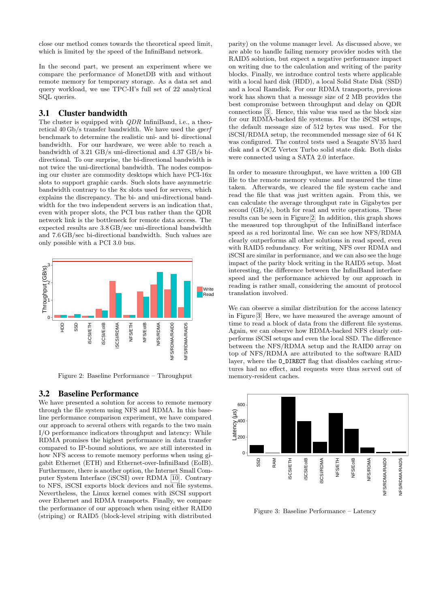close our method comes towards the theoretical speed limit, which is limited by the speed of the InfiniBand network.

In the second part, we present an experiment where we compare the performance of MonetDB with and without remote memory for temporary storage. As a data set and query workload, we use TPC-H's full set of 22 analytical SQL queries.

#### 3.1 Cluster bandwidth

The cluster is equipped with QDR InfiniBand, i.e., a theoretical 40 Gb/s transfer bandwidth. We have used the qperf benchmark to determine the realistic uni- and bi- directional bandwidth. For our hardware, we were able to reach a bandwidth of 3.21 GB/s uni-directional and 4.37 GB/s bidirectional. To our surprise, the bi-directional bandwidth is not twice the uni-directional bandwidth. The nodes composing our cluster are commodity desktops which have PCI-16x slots to support graphic cards. Such slots have asymmetric bandwidth contrary to the 8x slots used for servers, which explains the discrepancy. The bi- and uni-directional bandwidth for the two independent servers is an indication that, even with proper slots, the PCI bus rather than the QDR network link is the bottleneck for remote data access. The expected results are 3.8 GB/sec uni-directional bandwidth and 7.6 GB/sec bi-directional bandwidth. Such values are only possible with a PCI 3.0 bus.

<span id="page-3-0"></span>

Figure 2: Baseline Performance – Throughput

### 3.2 Baseline Performance

We have presented a solution for access to remote memory through the file system using NFS and RDMA. In this baseline performance comparison experiment, we have compared our approach to several others with regards to the two main I/O performance indicators throughput and latency: While RDMA promises the highest performance in data transfer compared to IP-bound solutions, we are still interested in how NFS access to remote memory performs when using gigabit Ethernet (ETH) and Ethernet-over-InfiniBand (EoIB). Furthermore, there is another option, the Internet Small Computer System Interface (iSCSI) over RDMA [\[10\]](#page-6-7). Contrary to NFS, iSCSI exports block devices and not file systems. Nevertheless, the Linux kernel comes with iSCSI support over Ethernet and RDMA transports. Finally, we compare the performance of our approach when using either RAID0 (striping) or RAID5 (block-level striping with distributed

parity) on the volume manager level. As discussed above, we are able to handle failing memory provider nodes with the RAID5 solution, but expect a negative performance impact on writing due to the calculation and writing of the parity blocks. Finally, we introduce control tests where applicable with a local hard disk (HDD), a local Solid State Disk (SSD) and a local Ramdisk. For our RDMA transports, previous work has shown that a message size of 2 MB provides the best compromise between throughput and delay on QDR connections [\[3\]](#page-6-6). Hence, this value was used as the block size for our RDMA-backed file systems. For the iSCSI setups, the default message size of 512 bytes was used. For the iSCSI/RDMA setup, the recommended message size of 64 K was configured. The control tests used a Seagate SV35 hard disk and a OCZ Vertex Turbo solid state disk. Both disks were connected using a SATA 2.0 interface.

In order to measure throughput, we have written a 100 GB file to the remote memory volume and measured the time taken. Afterwards, we cleared the file system cache and read the file that was just written again. From this, we can calculate the average throughput rate in Gigabytes per second (GB/s), both for read and write operations. These results can be seen in Figure [2.](#page-3-0) In addition, this graph shows the measured top throughput of the InfiniBand interface speed as a red horizontal line. We can see how NFS/RDMA clearly outperforms all other solutions in read speed, even with RAID5 redundancy. For writing, NFS over RDMA and iSCSI are similar in performance, and we can also see the huge impact of the parity block writing in the RAID5 setup. Most interesting, the difference between the InfiniBand interface speed and the performance achieved by our approach in reading is rather small, considering the amount of protocol translation involved.

We can observe a similar distribution for the access latency in Figure [3.](#page-3-1) Here, we have measured the average amount of time to read a block of data from the different file systems. Again, we can observe how RDMA-backed NFS clearly outperforms iSCSI setups and even the local SSD. The difference between the NFS/RDMA setup and the RAID0 array on top of NFS/RDMA are attributed to the software RAID layer, where the O\_DIRECT flag that disables caching structures had no effect, and requests were thus served out of memory-resident caches.

<span id="page-3-1"></span>

Figure 3: Baseline Performance – Latency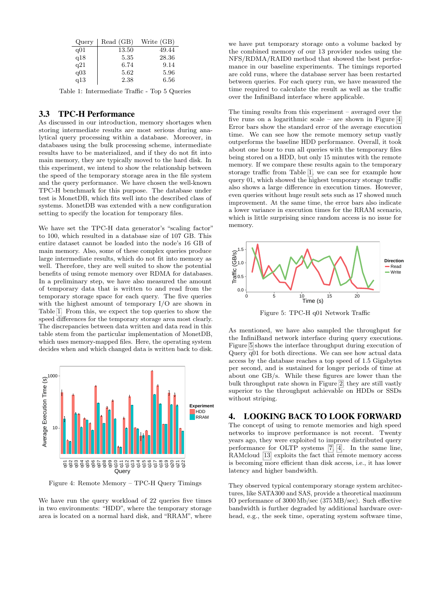<span id="page-4-1"></span>

| Query | Read (GB) | Write (GB) |
|-------|-----------|------------|
| q01   | 13.50     | 49.44      |
| q18   | 5.35      | 28.36      |
| q21   | 6.74      | 9.14       |
| q03   | 5.62      | 5.96       |
| q13   | 2.38      | 6.56       |

Table 1: Intermediate Traffic - Top 5 Queries

## 3.3 TPC-H Performance

As discussed in our introduction, memory shortages when storing intermediate results are most serious during analytical query processing within a database. Moreover, in databases using the bulk processing scheme, intermediate results have to be materialized, and if they do not fit into main memory, they are typically moved to the hard disk. In this experiment, we intend to show the relationship between the speed of the temporary storage area in the file system and the query performance. We have chosen the well-known TPC-H benchmark for this purpose. The database under test is MonetDB, which fits well into the described class of systems. MonetDB was extended with a new configuration setting to specify the location for temporary files.

We have set the TPC-H data generator's "scaling factor" to 100, which resulted in a database size of 107 GB. This entire dataset cannot be loaded into the node's 16 GB of main memory. Also, some of these complex queries produce large intermediate results, which do not fit into memory as well. Therefore, they are well suited to show the potential benefits of using remote memory over RDMA for databases. In a preliminary step, we have also measured the amount of temporary data that is written to and read from the temporary storage space for each query. The five queries with the highest amount of temporary I/O are shown in Table [1.](#page-4-1) From this, we expect the top queries to show the speed differences for the temporary storage area most clearly. The discrepancies between data written and data read in this table stem from the particular implementation of MonetDB, which uses memory-mapped files. Here, the operating system decides when and which changed data is written back to disk.

<span id="page-4-2"></span>

Figure 4: Remote Memory – TPC-H Query Timings

We have run the query workload of 22 queries five times in two environments: "HDD", where the temporary storage area is located on a normal hard disk, and "RRAM", where

we have put temporary storage onto a volume backed by the combined memory of our 13 provider nodes using the NFS/RDMA/RAID0 method that showed the best performance in our baseline experiments. The timings reported are cold runs, where the database server has been restarted between queries. For each query run, we have measured the time required to calculate the result as well as the traffic over the InfiniBand interface where applicable.

The timing results from this experiment – averaged over the five runs on a logarithmic scale – are shown in Figure [4.](#page-4-2) Error bars show the standard error of the average execution time. We can see how the remote memory setup vastly outperforms the baseline HDD performance. Overall, it took about one hour to run all queries with the temporary files being stored on a HDD, but only 15 minutes with the remote memory. If we compare these results again to the temporary storage traffic from Table [1,](#page-4-1) we can see for example how query 01, which showed the highest temporary storage traffic also shows a large difference in execution times. However, even queries without huge result sets such as 17 showed much improvement. At the same time, the error bars also indicate a lower variance in execution times for the RRAM scenario, which is little surprising since random access is no issue for memory.

<span id="page-4-3"></span>

Figure 5: TPC-H q01 Network Traffic

As mentioned, we have also sampled the throughput for the InfiniBand network interface during query executions. Figure [5](#page-4-3) shows the interface throughput during execution of Query q01 for both directions. We can see how actual data access by the database reaches a top speed of 1.5 Gigabytes per second, and is sustained for longer periods of time at about one GB/s. While these figures are lower than the bulk throughput rate shown in Figure [2,](#page-3-0) they are still vastly superior to the throughput achievable on HDDs or SSDs without striping.

## <span id="page-4-0"></span>4. LOOKING BACK TO LOOK FORWARD

The concept of using to remote memories and high speed networks to improve performance is not recent. Twenty years ago, they were exploited to improve distributed query performance for OLTP systems [\[7,](#page-6-1) [4\]](#page-6-8). In the same line, RAMcloud [\[13\]](#page-6-9) exploits the fact that remote memory access is becoming more efficient than disk access, i.e., it has lower latency and higher bandwidth.

They observed typical contemporary storage system architectures, like SATA300 and SAS, provide a theoretical maximum IO performance of 3000 Mb/sec (375 MB/sec). Such effective bandwidth is further degraded by additional hardware overhead, e.g., the seek time, operating system software time,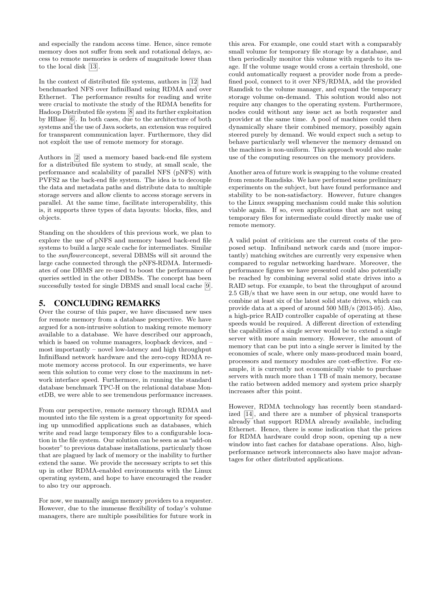and especially the random access time. Hence, since remote memory does not suffer from seek and rotational delays, access to remote memories is orders of magnitude lower than to the local disk [\[13\]](#page-6-9).

In the context of distributed file systems, authors in [\[12\]](#page-6-10) had benchmarked NFS over InfiniBand using RDMA and over Ethernet. The performance results for reading and write were crucial to motivate the study of the RDMA benefits for Hadoop Distributed file system [\[8\]](#page-6-11) and its further exploitation by HBase [\[6\]](#page-6-12). In both cases, due to the architecture of both systems and the use of Java sockets, an extension was required for transparent communication layer. Furthermore, they did not exploit the use of remote memory for storage.

Authors in [\[2\]](#page-6-13) used a memory based back-end file system for a distributed file system to study, at small scale, the performance and scalability of parallel NFS (pNFS) with PVFS2 as the back-end file system. The idea is to decouple the data and metadata paths and distribute data to multiple storage servers and allow clients to access storage servers in parallel. At the same time, facilitate interoperability, this is, it supports three types of data layouts: blocks, files, and objects.

Standing on the shoulders of this previous work, we plan to explore the use of pNFS and memory based back-end file systems to build a large scale cache for intermediates. Similar to the sunflowerconcept, several DBMSs will sit around the large cache connected through the pNFS-RDMA. Intermediates of one DBMS are re-used to boost the performance of queries settled in the other DBMSs. The concept has been successfully tested for single DBMS and small local cache [\[9\]](#page-6-14).

## <span id="page-5-0"></span>5. CONCLUDING REMARKS

Over the course of this paper, we have discussed new uses for remote memory from a database perspective. We have argued for a non-intrusive solution to making remote memory available to a database. We have described our approach, which is based on volume managers, loopback devices, and – most importantly – novel low-latency and high throughput InfiniBand network hardware and the zero-copy RDMA remote memory access protocol. In our experiments, we have seen this solution to come very close to the maximum in network interface speed. Furthermore, in running the standard database benchmark TPC-H on the relational database MonetDB, we were able to see tremendous performance increases.

From our perspective, remote memory through RDMA and mounted into the file system is a great opportunity for speeding up unmodified applications such as databases, which write and read large temporary files to a configurable location in the file system. Our solution can be seen as an "add-on booster" to previous database installations, particularly those that are plagued by lack of memory or the inability to further extend the same. We provide the necessary scripts to set this up in other RDMA-enabled environments with the Linux operating system, and hope to have encouraged the reader to also try our approach.

For now, we manually assign memory providers to a requester. However, due to the immense flexibility of today's volume managers, there are multiple possibilities for future work in

this area. For example, one could start with a comparably small volume for temporary file storage by a database, and then periodically monitor this volume with regards to its usage. If the volume usage would cross a certain threshold, one could automatically request a provider node from a predefined pool, connect to it over NFS/RDMA, add the provided Ramdisk to the volume manager, and expand the temporary storage volume on-demand. This solution would also not require any changes to the operating system. Furthermore, nodes could without any issue act as both requester and provider at the same time. A pool of machines could then dynamically share their combined memory, possibly again steered purely by demand. We would expect such a setup to behave particularly well whenever the memory demand on the machines is non-uniform. This approach would also make use of the computing resources on the memory providers.

Another area of future work is swapping to the volume created from remote Ramdisks. We have performed some preliminary experiments on the subject, but have found performance and stability to be non-satisfactory. However, future changes to the Linux swapping mechanism could make this solution viable again. If so, even applications that are not using temporary files for intermediate could directly make use of remote memory.

A valid point of criticism are the current costs of the proposed setup. Infiniband network cards and (more importantly) matching switches are currently very expensive when compared to regular networking hardware. Moreover, the performance figures we have presented could also potentially be reached by combining several solid state drives into a RAID setup. For example, to beat the throughput of around 2.5 GB/s that we have seen in our setup, one would have to combine at least six of the latest solid state drives, which can provide data at a speed of around 500 MB/s (2013-05). Also, a high-price RAID controller capable of operating at these speeds would be required. A different direction of extending the capabilities of a single server would be to extend a single server with more main memory. However, the amount of memory that can be put into a single server is limited by the economies of scale, where only mass-produced main board, processors and memory modules are cost-effective. For example, it is currently not economically viable to purchase servers with much more than 1 TB of main memory, because the ratio between added memory and system price sharply increases after this point.

However, RDMA technology has recently been standardized [\[14\]](#page-6-2), and there are a number of physical transports already that support RDMA already available, including Ethernet. Hence, there is some indication that the prices for RDMA hardware could drop soon, opening up a new window into fast caches for database operations. Also, highperformance network interconnects also have major advantages for other distributed applications.